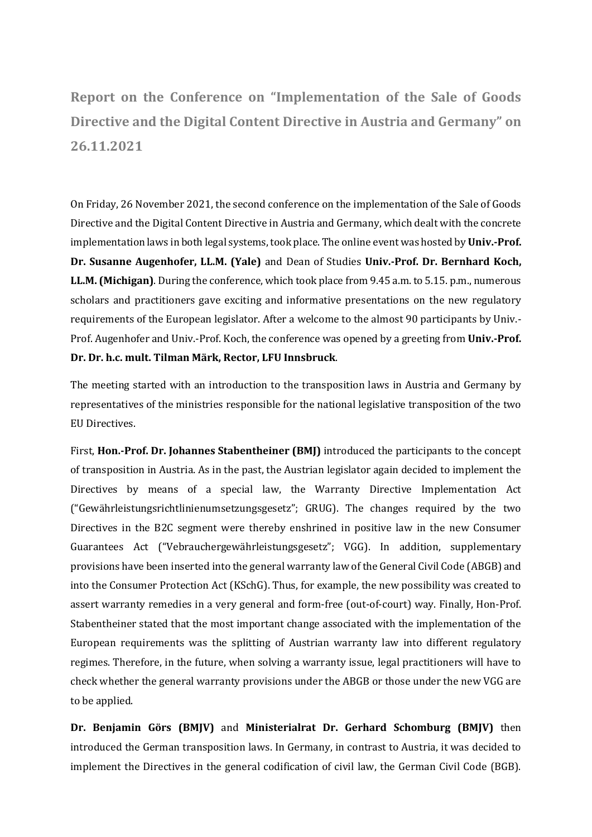**Report on the Conference on "Implementation of the Sale of Goods Directive and the Digital Content Directive in Austria and Germany" on 26.11.2021**

On Friday, 26 November 2021, the second conference on the implementation of the Sale of Goods Directive and the Digital Content Directive in Austria and Germany, which dealt with the concrete implementation laws in both legal systems, took place. The online event was hosted by **Univ.-Prof. Dr. Susanne Augenhofer, LL.M. (Yale)** and Dean of Studies **Univ.-Prof. Dr. Bernhard Koch, LL.M. (Michigan)**. During the conference, which took place from 9.45 a.m. to 5.15. p.m., numerous scholars and practitioners gave exciting and informative presentations on the new regulatory requirements of the European legislator. After a welcome to the almost 90 participants by Univ.- Prof. Augenhofer and Univ.-Prof. Koch, the conference was opened by a greeting from **Univ.-Prof. Dr. Dr. h.c. mult. Tilman Märk, Rector, LFU Innsbruck**.

The meeting started with an introduction to the transposition laws in Austria and Germany by representatives of the ministries responsible for the national legislative transposition of the two EU Directives.

First, **Hon.-Prof. Dr. Johannes Stabentheiner (BMJ)** introduced the participants to the concept of transposition in Austria. As in the past, the Austrian legislator again decided to implement the Directives by means of a special law, the Warranty Directive Implementation Act ("Gewährleistungsrichtlinienumsetzungsgesetz"; GRUG). The changes required by the two Directives in the B2C segment were thereby enshrined in positive law in the new Consumer Guarantees Act ("Vebrauchergewährleistungsgesetz"; VGG). In addition, supplementary provisions have been inserted into the general warranty law of the General Civil Code (ABGB) and into the Consumer Protection Act (KSchG). Thus, for example, the new possibility was created to assert warranty remedies in a very general and form-free (out-of-court) way. Finally, Hon-Prof. Stabentheiner stated that the most important change associated with the implementation of the European requirements was the splitting of Austrian warranty law into different regulatory regimes. Therefore, in the future, when solving a warranty issue, legal practitioners will have to check whether the general warranty provisions under the ABGB or those under the new VGG are to be applied.

**Dr. Benjamin Görs (BMJV)** and **Ministerialrat Dr. Gerhard Schomburg (BMJV)** then introduced the German transposition laws. In Germany, in contrast to Austria, it was decided to implement the Directives in the general codification of civil law, the German Civil Code (BGB).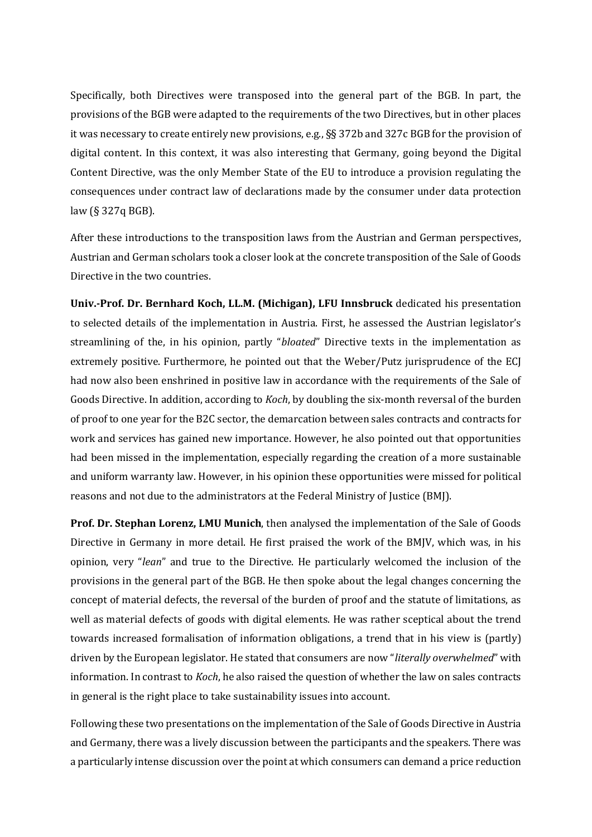Specifically, both Directives were transposed into the general part of the BGB. In part, the provisions of the BGB were adapted to the requirements of the two Directives, but in other places it was necessary to create entirely new provisions, e.g., §§ 372b and 327c BGB for the provision of digital content. In this context, it was also interesting that Germany, going beyond the Digital Content Directive, was the only Member State of the EU to introduce a provision regulating the consequences under contract law of declarations made by the consumer under data protection law (§ 327q BGB).

After these introductions to the transposition laws from the Austrian and German perspectives, Austrian and German scholars took a closer look at the concrete transposition of the Sale of Goods Directive in the two countries.

**Univ.-Prof. Dr. Bernhard Koch, LL.M. (Michigan), LFU Innsbruck** dedicated his presentation to selected details of the implementation in Austria. First, he assessed the Austrian legislator's streamlining of the, in his opinion, partly "*bloated*" Directive texts in the implementation as extremely positive. Furthermore, he pointed out that the Weber/Putz jurisprudence of the ECJ had now also been enshrined in positive law in accordance with the requirements of the Sale of Goods Directive. In addition, according to *Koch*, by doubling the six-month reversal of the burden of proof to one year for the B2C sector, the demarcation between sales contracts and contracts for work and services has gained new importance. However, he also pointed out that opportunities had been missed in the implementation, especially regarding the creation of a more sustainable and uniform warranty law. However, in his opinion these opportunities were missed for political reasons and not due to the administrators at the Federal Ministry of Justice (BMJ).

**Prof. Dr. Stephan Lorenz, LMU Munich**, then analysed the implementation of the Sale of Goods Directive in Germany in more detail. He first praised the work of the BMJV, which was, in his opinion, very "*lean*" and true to the Directive. He particularly welcomed the inclusion of the provisions in the general part of the BGB. He then spoke about the legal changes concerning the concept of material defects, the reversal of the burden of proof and the statute of limitations, as well as material defects of goods with digital elements. He was rather sceptical about the trend towards increased formalisation of information obligations, a trend that in his view is (partly) driven by the European legislator. He stated that consumers are now "*literally overwhelmed*" with information. In contrast to *Koch*, he also raised the question of whether the law on sales contracts in general is the right place to take sustainability issues into account.

Following these two presentations on the implementation of the Sale of Goods Directive in Austria and Germany, there was a lively discussion between the participants and the speakers. There was a particularly intense discussion over the point at which consumers can demand a price reduction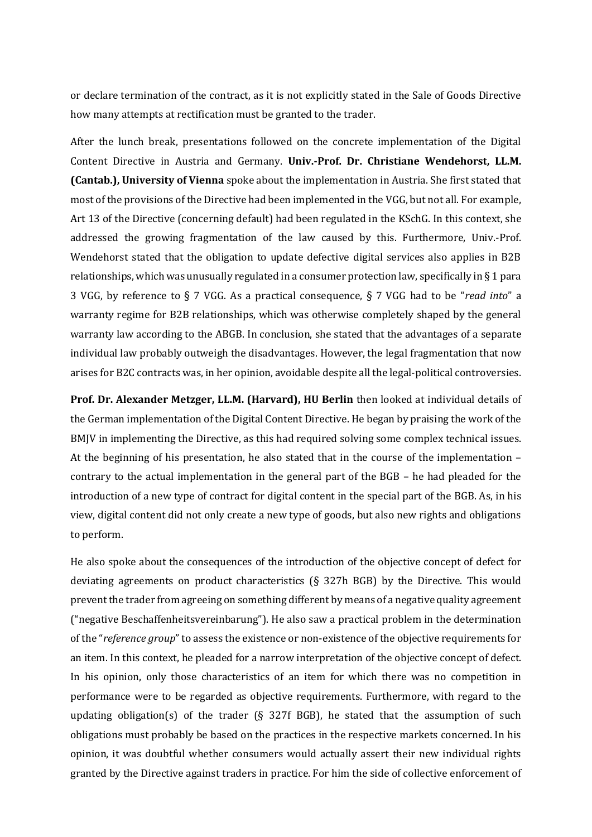or declare termination of the contract, as it is not explicitly stated in the Sale of Goods Directive how many attempts at rectification must be granted to the trader.

After the lunch break, presentations followed on the concrete implementation of the Digital Content Directive in Austria and Germany. **Univ.-Prof. Dr. Christiane Wendehorst, LL.M. (Cantab.), University of Vienna** spoke about the implementation in Austria. She first stated that most of the provisions of the Directive had been implemented in the VGG, but not all. For example, Art 13 of the Directive (concerning default) had been regulated in the KSchG. In this context, she addressed the growing fragmentation of the law caused by this. Furthermore, Univ.-Prof. Wendehorst stated that the obligation to update defective digital services also applies in B2B relationships, which was unusually regulated in a consumer protection law, specifically in § 1 para 3 VGG, by reference to § 7 VGG. As a practical consequence, § 7 VGG had to be "*read into*" a warranty regime for B2B relationships, which was otherwise completely shaped by the general warranty law according to the ABGB. In conclusion, she stated that the advantages of a separate individual law probably outweigh the disadvantages. However, the legal fragmentation that now arises for B2C contracts was, in her opinion, avoidable despite all the legal-political controversies.

**Prof. Dr. Alexander Metzger, LL.M. (Harvard), HU Berlin** then looked at individual details of the German implementation of the Digital Content Directive. He began by praising the work of the BMJV in implementing the Directive, as this had required solving some complex technical issues. At the beginning of his presentation, he also stated that in the course of the implementation – contrary to the actual implementation in the general part of the BGB – he had pleaded for the introduction of a new type of contract for digital content in the special part of the BGB. As, in his view, digital content did not only create a new type of goods, but also new rights and obligations to perform.

He also spoke about the consequences of the introduction of the objective concept of defect for deviating agreements on product characteristics (§ 327h BGB) by the Directive. This would prevent the trader from agreeing on something different by means of a negative quality agreement ("negative Beschaffenheitsvereinbarung"). He also saw a practical problem in the determination of the "*reference group*" to assess the existence or non-existence of the objective requirements for an item. In this context, he pleaded for a narrow interpretation of the objective concept of defect. In his opinion, only those characteristics of an item for which there was no competition in performance were to be regarded as objective requirements. Furthermore, with regard to the updating obligation(s) of the trader (§ 327f BGB), he stated that the assumption of such obligations must probably be based on the practices in the respective markets concerned. In his opinion, it was doubtful whether consumers would actually assert their new individual rights granted by the Directive against traders in practice. For him the side of collective enforcement of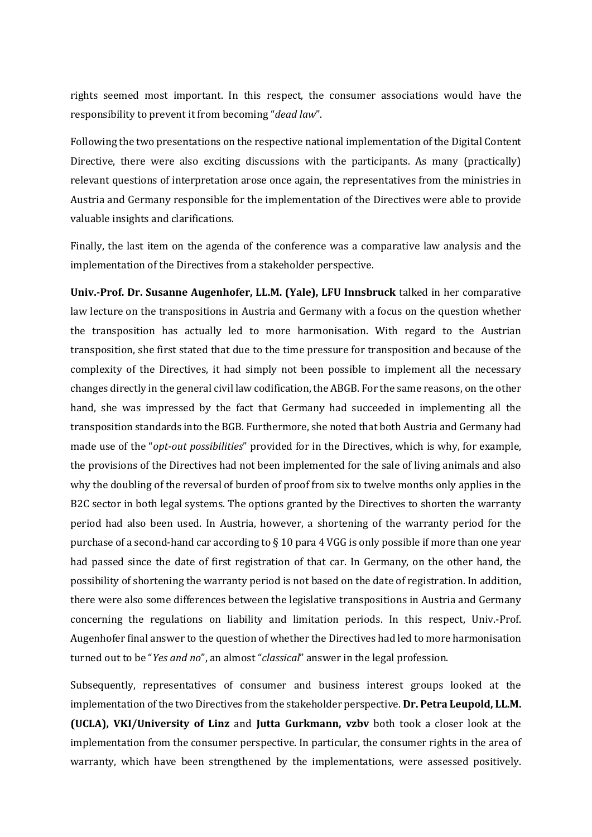rights seemed most important. In this respect, the consumer associations would have the responsibility to prevent it from becoming "*dead law*".

Following the two presentations on the respective national implementation of the Digital Content Directive, there were also exciting discussions with the participants. As many (practically) relevant questions of interpretation arose once again, the representatives from the ministries in Austria and Germany responsible for the implementation of the Directives were able to provide valuable insights and clarifications.

Finally, the last item on the agenda of the conference was a comparative law analysis and the implementation of the Directives from a stakeholder perspective.

**Univ.-Prof. Dr. Susanne Augenhofer, LL.M. (Yale), LFU Innsbruck** talked in her comparative law lecture on the transpositions in Austria and Germany with a focus on the question whether the transposition has actually led to more harmonisation. With regard to the Austrian transposition, she first stated that due to the time pressure for transposition and because of the complexity of the Directives, it had simply not been possible to implement all the necessary changes directly in the general civil law codification, the ABGB. For the same reasons, on the other hand, she was impressed by the fact that Germany had succeeded in implementing all the transposition standards into the BGB. Furthermore, she noted that both Austria and Germany had made use of the "*opt-out possibilities*" provided for in the Directives, which is why, for example, the provisions of the Directives had not been implemented for the sale of living animals and also why the doubling of the reversal of burden of proof from six to twelve months only applies in the B2C sector in both legal systems. The options granted by the Directives to shorten the warranty period had also been used. In Austria, however, a shortening of the warranty period for the purchase of a second-hand car according to § 10 para 4 VGG is only possible if more than one year had passed since the date of first registration of that car. In Germany, on the other hand, the possibility of shortening the warranty period is not based on the date of registration. In addition, there were also some differences between the legislative transpositions in Austria and Germany concerning the regulations on liability and limitation periods. In this respect, Univ.-Prof. Augenhofer final answer to the question of whether the Directives had led to more harmonisation turned out to be "*Yes and no*", an almost "*classical*" answer in the legal profession.

Subsequently, representatives of consumer and business interest groups looked at the implementation of the two Directives from the stakeholder perspective. **Dr. Petra Leupold, LL.M. (UCLA), VKI/University of Linz** and **Jutta Gurkmann, vzbv** both took a closer look at the implementation from the consumer perspective. In particular, the consumer rights in the area of warranty, which have been strengthened by the implementations, were assessed positively.